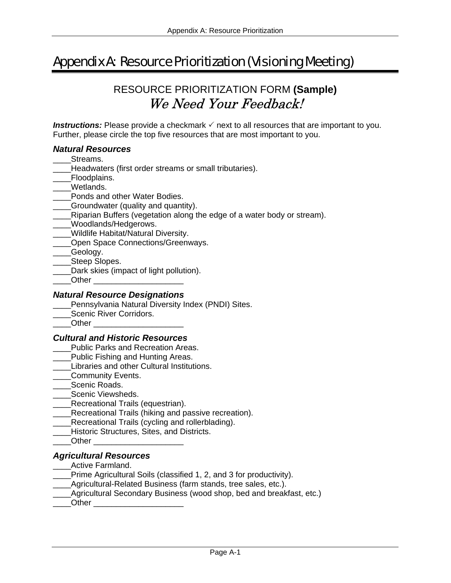# Appendix A: Resource Prioritization (Visioning Meeting)

## RESOURCE PRIORITIZATION FORM **(Sample)** We Need Your Feedback!

**Instructions:** Please provide a checkmark  $\checkmark$  next to all resources that are important to you. Further, please circle the top five resources that are most important to you.

#### *Natural Resources*

- Streams.
- Headwaters (first order streams or small tributaries).
- Floodplains.
- Wetlands.
- Ponds and other Water Bodies.
- Groundwater (quality and quantity).
- \_\_\_\_Riparian Buffers (vegetation along the edge of a water body or stream).
- Woodlands/Hedgerows.
- \_\_\_\_Wildlife Habitat/Natural Diversity.
- \_\_Open Space Connections/Greenways.
- \_\_\_\_Geology.
- Steep Slopes.
- Dark skies (impact of light pollution).
- Other

#### *Natural Resource Designations*

- Pennsylvania Natural Diversity Index (PNDI) Sites.
- Scenic River Corridors.
- Other  $\Box$

#### *Cultural and Historic Resources*

- Public Parks and Recreation Areas.
- Public Fishing and Hunting Areas.
- Libraries and other Cultural Institutions.
- \_\_\_\_Community Events.
- Scenic Roads.
- Scenic Viewsheds.
- Recreational Trails (equestrian).
- \_\_\_\_Recreational Trails (hiking and passive recreation).
- Recreational Trails (cycling and rollerblading).
- \_\_\_\_Historic Structures, Sites, and Districts.
- Other  $\overline{\phantom{a}}$

#### *Agricultural Resources*

- Active Farmland.
- Prime Agricultural Soils (classified 1, 2, and 3 for productivity).
- \_\_\_\_Agricultural-Related Business (farm stands, tree sales, etc.).
- Agricultural Secondary Business (wood shop, bed and breakfast, etc.)
- Other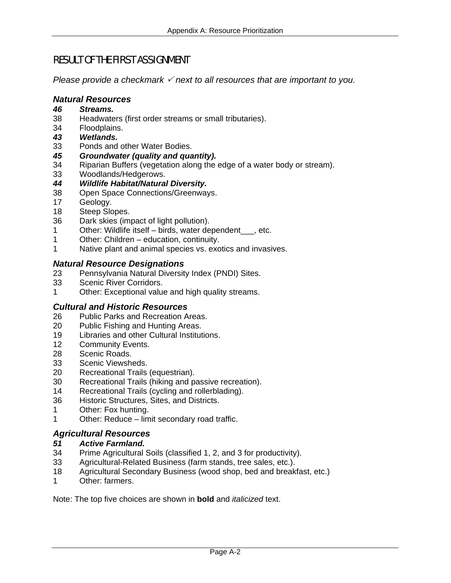### RESULT OF THE FIRST ASSIGNMENT

*Please provide a checkmark*  $\checkmark$  *next to all resources that are important to you.* 

#### *Natural Resources*

- *46 Streams.*
- 38 Headwaters (first order streams or small tributaries).
- 34 Floodplains.
- *43 Wetlands.*
- 33 Ponds and other Water Bodies.
- *45 Groundwater (quality and quantity).*
- 34 Riparian Buffers (vegetation along the edge of a water body or stream).
- 33 Woodlands/Hedgerows.
- *44 Wildlife Habitat/Natural Diversity.*
- 38 Open Space Connections/Greenways.
- 17 Geology.
- 18 Steep Slopes.
- 36 Dark skies (impact of light pollution).
- 1 Other: Wildlife itself birds, water dependent\_\_\_, etc.
- 1 Other: Children education, continuity.
- 1 Native plant and animal species vs. exotics and invasives.

#### *Natural Resource Designations*

- 23 Pennsylvania Natural Diversity Index (PNDI) Sites.
- 33 Scenic River Corridors.
- 1 Other: Exceptional value and high quality streams.

#### *Cultural and Historic Resources*

- 26 Public Parks and Recreation Areas.
- 20 Public Fishing and Hunting Areas.
- 19 Libraries and other Cultural Institutions.
- 12 Community Events.
- 28 Scenic Roads.
- 33 Scenic Viewsheds.
- 20 Recreational Trails (equestrian).
- 30 Recreational Trails (hiking and passive recreation).
- 14 Recreational Trails (cycling and rollerblading).
- 36 Historic Structures, Sites, and Districts.
- 1 Other: Fox hunting.
- 1 Other: Reduce limit secondary road traffic.

#### *Agricultural Resources*

#### *51 Active Farmland.*

- 34 Prime Agricultural Soils (classified 1, 2, and 3 for productivity).
- 33 Agricultural-Related Business (farm stands, tree sales, etc.).
- 18 Agricultural Secondary Business (wood shop, bed and breakfast, etc.)
- 1 Other: farmers.

Note: The top five choices are shown in **bold** and *italicized* text.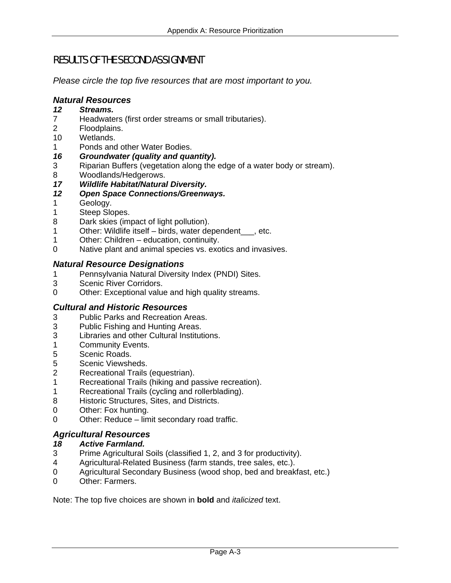## RESULTS OF THE SECOND ASSIGNMENT

*Please circle the top five resources that are most important to you.* 

#### *Natural Resources*

- *12 Streams.*
- 7 Headwaters (first order streams or small tributaries).
- 2 Floodplains.
- 10 Wetlands.
- 1 Ponds and other Water Bodies.
- *16 Groundwater (quality and quantity).*
- 3 Riparian Buffers (vegetation along the edge of a water body or stream).
- 8 Woodlands/Hedgerows.
- *17 Wildlife Habitat/Natural Diversity.*
- *12 Open Space Connections/Greenways.*
- 1 Geology.
- 1 Steep Slopes.
- 8 Dark skies (impact of light pollution).
- 1 Other: Wildlife itself birds, water dependent\_\_\_, etc.
- 1 Other: Children education, continuity.
- 0 Native plant and animal species vs. exotics and invasives.

#### *Natural Resource Designations*

- 1 Pennsylvania Natural Diversity Index (PNDI) Sites.
- 3 Scenic River Corridors.
- 0 Other: Exceptional value and high quality streams.

#### *Cultural and Historic Resources*

- 3 Public Parks and Recreation Areas.
- 3 Public Fishing and Hunting Areas.
- 3 Libraries and other Cultural Institutions.
- 1 Community Events.
- 5 Scenic Roads.
- 5 Scenic Viewsheds.<br>2 Recreational Trails
- Recreational Trails (equestrian).
- 1 Recreational Trails (hiking and passive recreation).
- 1 Recreational Trails (cycling and rollerblading).
- 8 Historic Structures, Sites, and Districts.
- 0 Other: Fox hunting.
- 0 Other: Reduce limit secondary road traffic.

#### *Agricultural Resources*

#### *18 Active Farmland.*

- 3 Prime Agricultural Soils (classified 1, 2, and 3 for productivity).
- 4 Agricultural-Related Business (farm stands, tree sales, etc.).
- 0 Agricultural Secondary Business (wood shop, bed and breakfast, etc.)
- 0 Other: Farmers.

Note: The top five choices are shown in **bold** and *italicized* text.